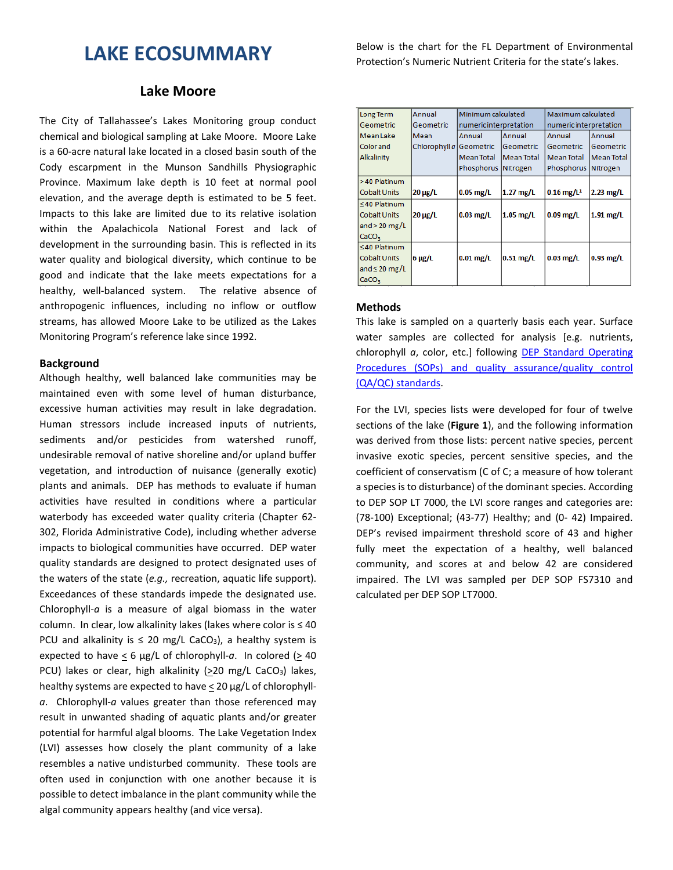# **LAKE ECOSUMMARY**

## **Lake Moore**

The City of Tallahassee's Lakes Monitoring group conduct chemical and biological sampling at Lake Moore. Moore Lake is a 60-acre natural lake located in a closed basin south of the Cody escarpment in the Munson Sandhills Physiographic Province. Maximum lake depth is 10 feet at normal pool elevation, and the average depth is estimated to be 5 feet. Impacts to this lake are limited due to its relative isolation within the Apalachicola National Forest and lack of development in the surrounding basin. This is reflected in its water quality and biological diversity, which continue to be good and indicate that the lake meets expectations for a healthy, well-balanced system. The relative absence of anthropogenic influences, including no inflow or outflow streams, has allowed Moore Lake to be utilized as the Lakes Monitoring Program's reference lake since 1992.

### **Background**

Although healthy, well balanced lake communities may be maintained even with some level of human disturbance, excessive human activities may result in lake degradation. Human stressors include increased inputs of nutrients, sediments and/or pesticides from watershed runoff, undesirable removal of native shoreline and/or upland buffer vegetation, and introduction of nuisance (generally exotic) plants and animals. DEP has methods to evaluate if human activities have resulted in conditions where a particular waterbody has exceeded water quality criteria (Chapter 62- 302, Florida Administrative Code), including whether adverse impacts to biological communities have occurred. DEP water quality standards are designed to protect designated uses of the waters of the state (*e.g.,* recreation, aquatic life support). Exceedances of these standards impede the designated use. Chlorophyll-*a* is a measure of algal biomass in the water column. In clear, low alkalinity lakes (lakes where color is ≤ 40 PCU and alkalinity is  $\leq 20$  mg/L CaCO<sub>3</sub>), a healthy system is expected to have  $\leq 6$  µg/L of chlorophyll-a. In colored ( $\geq 40$ ) PCU) lakes or clear, high alkalinity ( $\geq$ 20 mg/L CaCO<sub>3</sub>) lakes, healthy systems are expected to have < 20 µg/L of chlorophyll*a*. Chlorophyll-*a* values greater than those referenced may result in unwanted shading of aquatic plants and/or greater potential for harmful algal blooms. The Lake Vegetation Index (LVI) assesses how closely the plant community of a lake resembles a native undisturbed community. These tools are often used in conjunction with one another because it is possible to detect imbalance in the plant community while the algal community appears healthy (and vice versa).

Below is the chart for the FL Department of Environmental Protection's Numeric Nutrient Criteria for the state's lakes.

| Long Term           | Annual                  | Minimum calculated     |                   | Maximum calculated       |                   |  |  |
|---------------------|-------------------------|------------------------|-------------------|--------------------------|-------------------|--|--|
| Geometric           | Geometric               | numeric interpretation |                   | numeric interpretation   |                   |  |  |
| <b>Mean Lake</b>    | Mean                    | Annual                 | Annual            | Annual                   | Annual            |  |  |
| <b>Color</b> and    | Chlorophyll a Geometric |                        | <b>Geometric</b>  | <b>Geometric</b>         | Geometric         |  |  |
| Alkalinity          |                         | <b>Mean Total</b>      | <b>Mean Total</b> | <b>Mean Total</b>        | <b>Mean Total</b> |  |  |
|                     |                         | Phosphorus Nitrogen    |                   | Phosphorus Nitrogen      |                   |  |  |
| >40 Platinum        |                         |                        |                   |                          |                   |  |  |
| <b>Cobalt Units</b> | $20 \mu g/L$            | $0.05$ mg/L            | $1.27$ mg/L       | $0.16$ mg/L <sup>1</sup> | $2.23$ mg/L       |  |  |
| $\leq$ 40 Platinum  |                         |                        |                   |                          |                   |  |  |
| <b>Cobalt Units</b> | $20 \mu g/L$            | $0.03$ mg/L            | $1.05$ mg/L       | $0.09$ mg/L              | $1.91$ mg/L       |  |  |
| and $>$ 20 mg/L     |                         |                        |                   |                          |                   |  |  |
| CaCO <sub>3</sub>   |                         |                        |                   |                          |                   |  |  |
| $\leq$ 40 Platinum  |                         |                        |                   |                          |                   |  |  |
| <b>Cobalt Units</b> | $6 \mu g/L$             | $0.01$ mg/L            | $0.51$ mg/L       | $0.03$ mg/L              | $0.93$ mg/L       |  |  |
| and $\leq$ 20 mg/L  |                         |                        |                   |                          |                   |  |  |
| CaCO <sub>3</sub>   |                         |                        |                   |                          |                   |  |  |

## **Methods**

This lake is sampled on a quarterly basis each year. Surface water samples are collected for analysis [e.g. nutrients, chlorophyll *a*, color, etc.] following [DEP Standard Operating](http://www.dep.state.fl.us/water/sas/qa/sops.htm)  [Procedures \(SOPs\) and quality assurance/quality control](http://www.dep.state.fl.us/water/sas/qa/sops.htm)  [\(QA/QC\) standards.](http://www.dep.state.fl.us/water/sas/qa/sops.htm)

For the LVI, species lists were developed for four of twelve sections of the lake (**Figure 1**), and the following information was derived from those lists: percent native species, percent invasive exotic species, percent sensitive species, and the coefficient of conservatism (C of C; a measure of how tolerant a species is to disturbance) of the dominant species. According to DEP SOP LT 7000, the LVI score ranges and categories are: (78-100) Exceptional; (43-77) Healthy; and (0- 42) Impaired. DEP's revised impairment threshold score of 43 and higher fully meet the expectation of a healthy, well balanced community, and scores at and below 42 are considered impaired. The LVI was sampled per DEP SOP FS7310 and calculated per DEP SOP LT7000.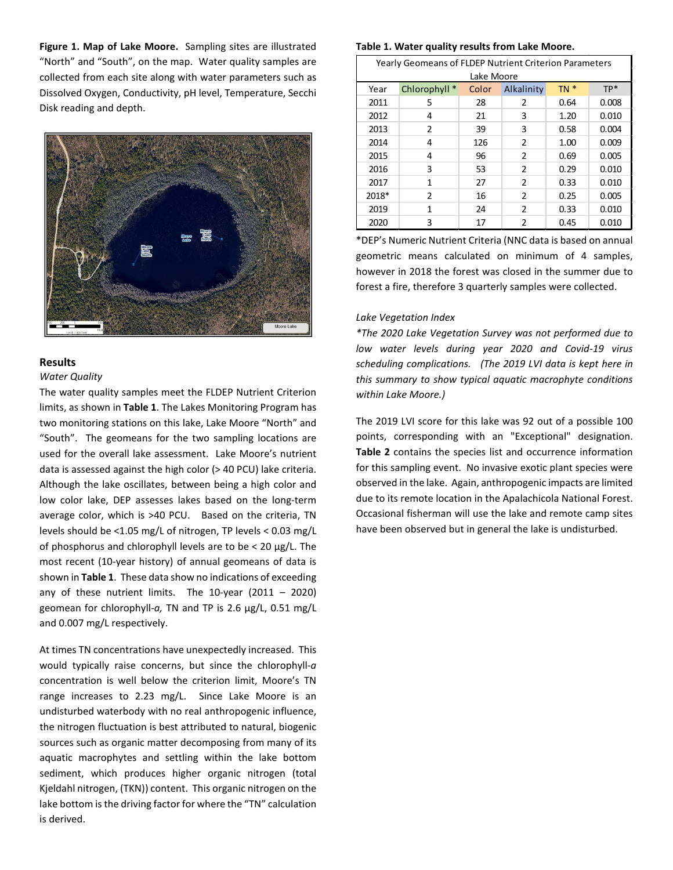**Figure 1. Map of Lake Moore.** Sampling sites are illustrated "North" and "South", on the map. Water quality samples are collected from each site along with water parameters such as Dissolved Oxygen, Conductivity, pH level, Temperature, Secchi Disk reading and depth.



## **Results**

#### *Water Quality*

The water quality samples meet the FLDEP Nutrient Criterion limits, as shown in **Table 1**. The Lakes Monitoring Program has two monitoring stations on this lake, Lake Moore "North" and "South". The geomeans for the two sampling locations are used for the overall lake assessment. Lake Moore's nutrient data is assessed against the high color (> 40 PCU) lake criteria. Although the lake oscillates, between being a high color and low color lake, DEP assesses lakes based on the long-term average color, which is >40 PCU. Based on the criteria, TN levels should be <1.05 mg/L of nitrogen, TP levels < 0.03 mg/L of phosphorus and chlorophyll levels are to be < 20 µg/L. The most recent (10-year history) of annual geomeans of data is shown in **Table 1**. These data show no indications of exceeding any of these nutrient limits. The 10-year (2011 - 2020) geomean for chlorophyll-*a,* TN and TP is 2.6 µg/L, 0.51 mg/L and 0.007 mg/L respectively.

At times TN concentrations have unexpectedly increased. This would typically raise concerns, but since the chlorophyll-*a*  concentration is well below the criterion limit, Moore's TN range increases to 2.23 mg/L. Since Lake Moore is an undisturbed waterbody with no real anthropogenic influence, the nitrogen fluctuation is best attributed to natural, biogenic sources such as organic matter decomposing from many of its aquatic macrophytes and settling within the lake bottom sediment, which produces higher organic nitrogen (total Kjeldahl nitrogen, (TKN)) content. This organic nitrogen on the lake bottom is the driving factor for where the "TN" calculation is derived.

#### **Table 1. Water quality results from Lake Moore.**

| Yearly Geomeans of FLDEP Nutrient Criterion Parameters |               |       |                |        |       |  |  |  |  |  |
|--------------------------------------------------------|---------------|-------|----------------|--------|-------|--|--|--|--|--|
| Lake Moore                                             |               |       |                |        |       |  |  |  |  |  |
| Year                                                   | Chlorophyll * | Color | Alkalinity     | $TN *$ | $TP*$ |  |  |  |  |  |
| 2011                                                   | 5             | 28    | 2              | 0.64   | 0.008 |  |  |  |  |  |
| 2012                                                   | 4             | 21    | 3              | 1.20   | 0.010 |  |  |  |  |  |
| 2013                                                   | 2             | 39    | 3              | 0.58   | 0.004 |  |  |  |  |  |
| 2014                                                   | 4             | 126   | 2              | 1.00   | 0.009 |  |  |  |  |  |
| 2015                                                   | 4             | 96    | 2              | 0.69   | 0.005 |  |  |  |  |  |
| 2016                                                   | 3             | 53    | 2              | 0.29   | 0.010 |  |  |  |  |  |
| 2017                                                   | 1             | 27    | 2              | 0.33   | 0.010 |  |  |  |  |  |
| 2018*                                                  | 2             | 16    | $\overline{2}$ | 0.25   | 0.005 |  |  |  |  |  |
| 2019                                                   | 1             | 24    | $\mathcal{P}$  | 0.33   | 0.010 |  |  |  |  |  |
| 2020                                                   | 3             | 17    | $\overline{2}$ | 0.45   | 0.010 |  |  |  |  |  |

\*DEP's Numeric Nutrient Criteria (NNC data is based on annual geometric means calculated on minimum of 4 samples, however in 2018 the forest was closed in the summer due to forest a fire, therefore 3 quarterly samples were collected.

#### *Lake Vegetation Index*

*\*The 2020 Lake Vegetation Survey was not performed due to low water levels during year 2020 and Covid-19 virus scheduling complications. (The 2019 LVI data is kept here in this summary to show typical aquatic macrophyte conditions within Lake Moore.)*

The 2019 LVI score for this lake was 92 out of a possible 100 points, corresponding with an "Exceptional" designation. **Table 2** contains the species list and occurrence information for this sampling event. No invasive exotic plant species were observed in the lake. Again, anthropogenic impacts are limited due to its remote location in the Apalachicola National Forest. Occasional fisherman will use the lake and remote camp sites have been observed but in general the lake is undisturbed.